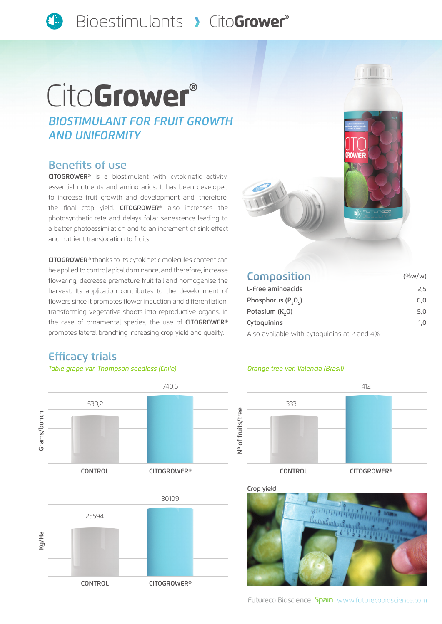# Cito Grower®

*BIOSTIMULANT FOR FRUIT GROWTH AND UNIFORMITY*

### Benefits of use

CITOGROWER® is a biostimulant with cytokinetic activity, essential nutrients and amino acids. It has been developed to increase fruit growth and development and, therefore, the final crop yield. CITOGROWER<sup>®</sup> also increases the photosynthetic rate and delays foliar senescence leading to a better photoassimilation and to an increment of sink effect and nutrient translocation to fruits.

CITOGROWER® thanks to its cytokinetic molecules content can be applied to control apical dominance, and therefore, increase flowering, decrease premature fruit fall and homogenise the harvest. Its application contributes to the development of flowers since it promotes flower induction and differentiation, transforming vegetative shoots into reproductive organs. In the case of ornamental species, the use of CITOGROWER® promotes lateral branching increasing crop yield and quality.



| <b>Composition</b>                          | $(\%w/w)$ |
|---------------------------------------------|-----------|
| L-Free aminoacids                           | 2,5       |
| Phosphorus $(P, O_c)$                       | 6,0       |
| Potasium (K <sub>2</sub> 0)                 | 5,0       |
| Cytoquinins                                 | 1,0       |
| Also available with cytoquinins at 2 and 4% |           |

# Efficacy trials





#### *Table grape var. Thompson seedless (Chile) Orange tree var. Valencia (Brasil)*



Crop yield <u> համասետեայի</u>

Futureco Bioscience Spain www.futurecobioscience.com